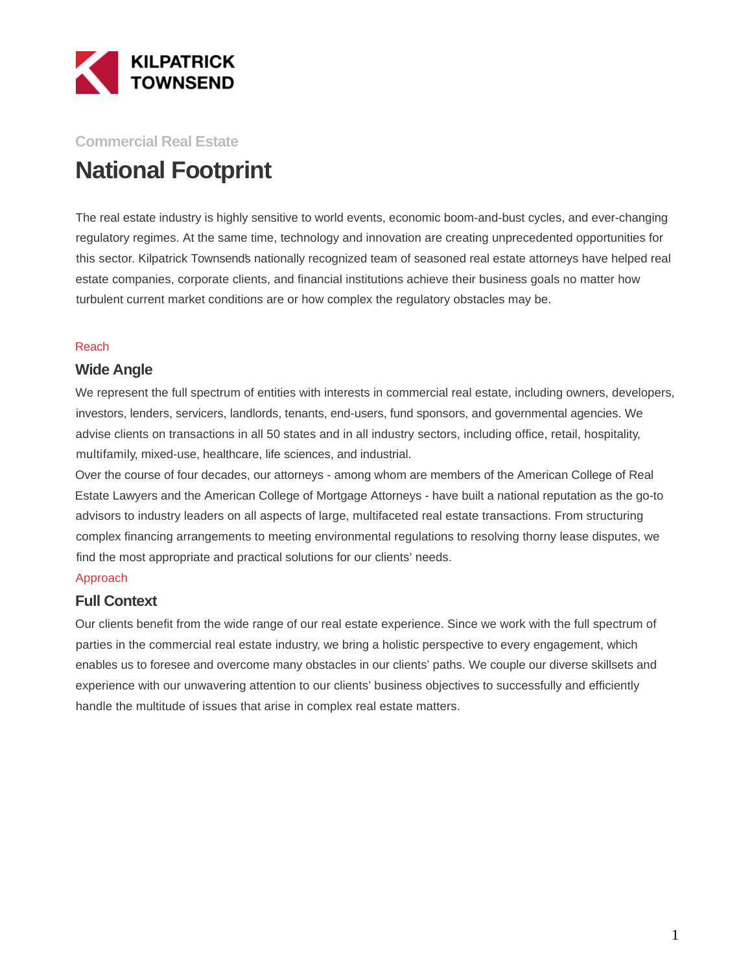

## **Commercial Real Estate National Footprint**

The real estate industry is highly sensitive to world events, economic boom-and-bust cycles, and ever-changing regulatory regimes. At the same time, technology and innovation are creating unprecedented opportunities for this sector. Kilpatrick Townsend's nationally recognized team of seasoned real estate attorneys have helped real estate companies, corporate clients, and financial institutions achieve their business goals no matter how turbulent current market conditions are or how complex the regulatory obstacles may be.

#### Reach

#### **Wide Angle**

We represent the full spectrum of entities with interests in commercial real estate, including owners, developers, investors, lenders, servicers, landlords, tenants, end-users, fund sponsors, and governmental agencies. We advise clients on transactions in all 50 states and in all industry sectors, including office, retail, hospitality, multifamily, mixed-use, healthcare, life sciences, and industrial.

Over the course of four decades, our attorneys - among whom are members of the American College of Real Estate Lawyers and the American College of Mortgage Attorneys - have built a national reputation as the go-to advisors to industry leaders on all aspects of large, multifaceted real estate transactions. From structuring complex financing arrangements to meeting environmental regulations to resolving thorny lease disputes, we find the most appropriate and practical solutions for our clients' needs.

#### Approach

### **Full Context**

Our clients benefit from the wide range of our real estate experience. Since we work with the full spectrum of parties in the commercial real estate industry, we bring a holistic perspective to every engagement, which enables us to foresee and overcome many obstacles in our clients' paths. We couple our diverse skillsets and experience with our unwavering attention to our clients' business objectives to successfully and efficiently handle the multitude of issues that arise in complex real estate matters.